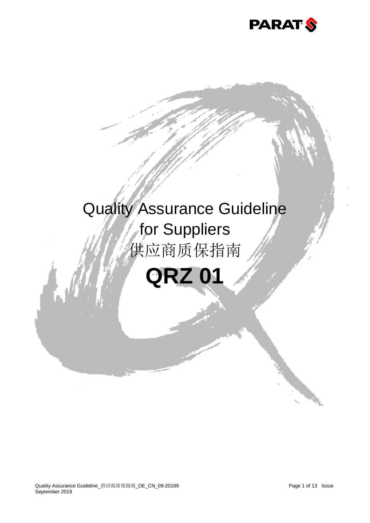

# Quality Assurance Guideline for Suppliers 供应商质保指南

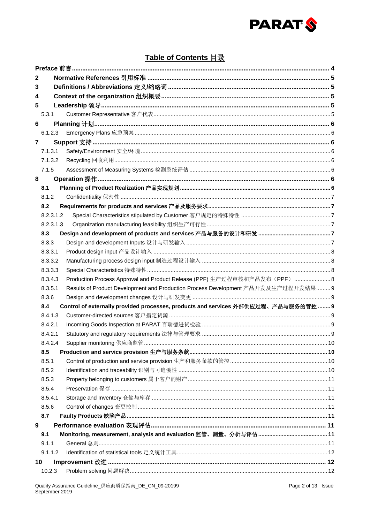

# Table of Contents 目录

| 2              |           |                                                                                    |  |  |  |  |
|----------------|-----------|------------------------------------------------------------------------------------|--|--|--|--|
| 3              |           |                                                                                    |  |  |  |  |
| 4              |           |                                                                                    |  |  |  |  |
| 5              |           |                                                                                    |  |  |  |  |
|                | 5.3.1     |                                                                                    |  |  |  |  |
| 6              |           |                                                                                    |  |  |  |  |
|                | 6.1.2.3   |                                                                                    |  |  |  |  |
| $\overline{7}$ |           |                                                                                    |  |  |  |  |
|                | 7.1.3.1   |                                                                                    |  |  |  |  |
|                | 7.1.3.2   |                                                                                    |  |  |  |  |
|                | 7.1.5     |                                                                                    |  |  |  |  |
| 8              |           |                                                                                    |  |  |  |  |
|                | 8.1       |                                                                                    |  |  |  |  |
|                | 8.1.2     |                                                                                    |  |  |  |  |
|                | 8.2       | Requirements for products and services 产品及服务要求………………………………………………………………………………7      |  |  |  |  |
|                | 8.2.3.1.2 |                                                                                    |  |  |  |  |
|                | 8.2.3.1.3 |                                                                                    |  |  |  |  |
|                | 8.3       |                                                                                    |  |  |  |  |
|                | 8.3.3     |                                                                                    |  |  |  |  |
|                | 8.3.3.1   |                                                                                    |  |  |  |  |
|                | 8.3.3.2   |                                                                                    |  |  |  |  |
|                | 8.3.3.3   |                                                                                    |  |  |  |  |
|                | 8.3.4.3   | Production Process Approval and Product Release (PPF) 生产过程审核和产品发布(PPF)  8          |  |  |  |  |
|                | 8.3.5.1   | Results of Product Development and Production Process Development 产品开发及生产过程开发结果  9 |  |  |  |  |
|                | 8.3.6     |                                                                                    |  |  |  |  |
|                | 8.4       | Control of externally provided processes, products and services 外部供应过程、产品与服务的管控  9 |  |  |  |  |
|                | 8.4.1.3   |                                                                                    |  |  |  |  |
|                | 8.4.2.1   |                                                                                    |  |  |  |  |
|                | 8.4.2.1   |                                                                                    |  |  |  |  |
|                | 8.4.2.4   |                                                                                    |  |  |  |  |
|                | 8.5       | Production and service provision 生产与服务条款……………………………………………………………………………………10         |  |  |  |  |
|                | 8.5.1     |                                                                                    |  |  |  |  |
|                | 8.5.2     |                                                                                    |  |  |  |  |
|                | 8.5.3     |                                                                                    |  |  |  |  |
|                | 8.5.4     |                                                                                    |  |  |  |  |
|                | 8.5.4.1   |                                                                                    |  |  |  |  |
|                | 8.5.6     |                                                                                    |  |  |  |  |
|                | 8.7       |                                                                                    |  |  |  |  |
| 9              |           |                                                                                    |  |  |  |  |
|                | 9.1       |                                                                                    |  |  |  |  |
|                | 9.1.1     |                                                                                    |  |  |  |  |
|                | 9.1.1.2   |                                                                                    |  |  |  |  |
| 10             |           |                                                                                    |  |  |  |  |
|                | 10.2.3    |                                                                                    |  |  |  |  |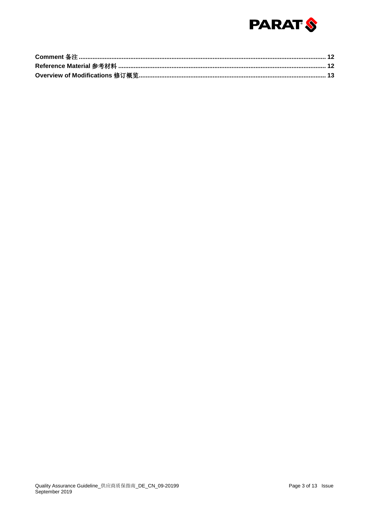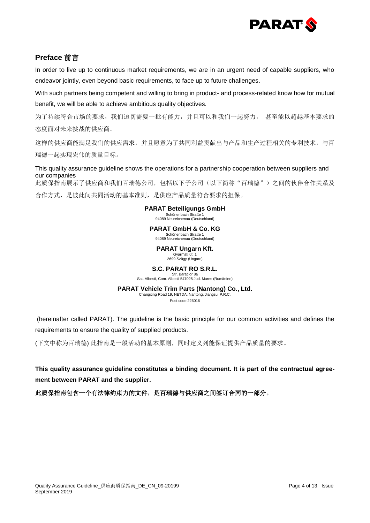

# **Preface** 前言

In order to live up to continuous market requirements, we are in an urgent need of capable suppliers, who endeavor jointly, even beyond basic requirements, to face up to future challenges.

With such partners being competent and willing to bring in product- and process-related know how for mutual benefit, we will be able to achieve ambitious quality objectives.

为了持续符合市场的要求,我们迫切需要一批有能力,并且可以和我们一起努力, 甚至能以超越基本要求的 态度面对未来挑战的供应商。

这样的供应商能满足我们的供应需求,并且愿意为了共同利益贡献出与产品和生产过程相关的专利技术,与百 瑞德一起实现宏伟的质量目标。

This quality assurance guideline shows the operations for a partnership cooperation between suppliers and our companies

此质保指南展示了供应商和我们百瑞德公司,包括以下子公司(以下简称"百瑞德")之间的伙伴合作关系及 合作方式,是彼此间共同活动的基本准则,是供应产品质量符合要求的担保。

#### **PARAT Beteiligungs GmbH**

Schönenbach Straße 1 94089 Neureichenau (Deutschland)

#### **PARAT GmbH & Co. KG**

Schönenbach Straße 1 94089 Neureichenau (Deutschland)

**PARAT Ungarn Kft.**

Gyarmati út. 1 2699 Szügy (Ungarn)

# **S.C. PARAT RO S.R.L.**

Str. Baratilor 8a Sat. Albesti, Com. Albesti 547025 Jud. Mures (Rumänien)

#### **PARAT Vehicle Trim Parts (Nantong) Co., Ltd.**

Changxing Road 19, NETDA, Nantong, Jiangsu, P.R.C. Post code:226016

(hereinafter called PARAT). The guideline is the basic principle for our common activities and defines the requirements to ensure the quality of supplied products.

(下文中称为百瑞德) 此指南是一般活动的基本原则,同时定义列能保证提供产品质量的要求。

**This quality assurance guideline constitutes a binding document. It is part of the contractual agreement between PARAT and the supplier.**

此质保指南包含一个有法律约束力的文件,是百瑞德与供应商之间签订合同的一部分。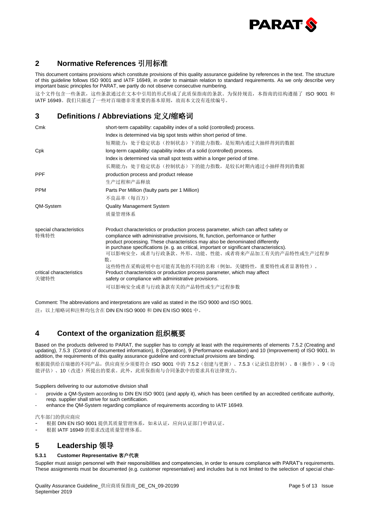

# **2 Normative References** 引用标准

This document contains provisions which constitute provisions of this quality assurance guideline by references in the text. The structure of this guideline follows ISO 9001 and IATF 16949, in order to maintain relation to standard requirements. As we only describe very important basic principles for PARAT, we partly do not observe consecutive numbering.

这个文件包含一些条款,这些条款通过在文本中引用的形式形成了此质保指南的条款。为保持规范,本指南的结构遵循了 ISO 9001 和 IATF 16949。我们只描述了一些对百瑞德非常重要的基本原则,故而本文没有连续编号。

# **3 Definitions / Abbreviations** 定义**/**缩略词

| Cmk                              | short-term capability: capability index of a solid (controlled) process.                                                                                                                                                                                                                                                                                                                                     |  |  |  |
|----------------------------------|--------------------------------------------------------------------------------------------------------------------------------------------------------------------------------------------------------------------------------------------------------------------------------------------------------------------------------------------------------------------------------------------------------------|--|--|--|
|                                  | Index is determined via big spot tests within short period of time.                                                                                                                                                                                                                                                                                                                                          |  |  |  |
|                                  | 短期能力:处于稳定状态(控制状态)下的能力指数,是短期内通过大抽样得到的数据                                                                                                                                                                                                                                                                                                                                                                       |  |  |  |
| Cpk                              | long-term capability: capability index of a solid (controlled) process.                                                                                                                                                                                                                                                                                                                                      |  |  |  |
|                                  | Index is determined via small spot tests within a longer period of time.                                                                                                                                                                                                                                                                                                                                     |  |  |  |
|                                  | 长期能力:处于稳定状态(控制状态)下的能力指数,是较长时期内通过小抽样得到的数据                                                                                                                                                                                                                                                                                                                                                                     |  |  |  |
| <b>PPF</b>                       | production process and product release                                                                                                                                                                                                                                                                                                                                                                       |  |  |  |
|                                  | 生产过程和产品释放                                                                                                                                                                                                                                                                                                                                                                                                    |  |  |  |
| <b>PPM</b>                       | Parts Per Million (faulty parts per 1 Million)                                                                                                                                                                                                                                                                                                                                                               |  |  |  |
|                                  | 不良品率 (每百万)                                                                                                                                                                                                                                                                                                                                                                                                   |  |  |  |
| QM-System                        | <b>Quality Management System</b>                                                                                                                                                                                                                                                                                                                                                                             |  |  |  |
|                                  | 质量管理体系                                                                                                                                                                                                                                                                                                                                                                                                       |  |  |  |
| special characteristics<br>特殊特性  | Product characteristics or production process parameter, which can affect safety or<br>compliance with administrative provisions, fit, function, performance or further<br>product processing. These characteristics may also be denominated differently<br>in purchase specifications (e. g. as critical, important or significant characteristics).<br>可以影响安全,或者与行政条款、外形、功能、性能、或者将来产品加工有关的产品特性或生产过程参<br>数。 |  |  |  |
| critical characteristics<br>关键特性 | 这些特性在采购说明中也可能有其他的不同的名称(例如,关键特性,重要特性或者显著特性)。<br>Product characteristics or production process parameter, which may affect<br>safety or compliance with administrative provisions.<br>可以影响安全或者与行政条款有关的产品特性或生产过程参数                                                                                                                                                                                              |  |  |  |

Comment: The abbreviations and interpretations are valid as stated in the ISO 9000 and ISO 9001. 注:以上缩略词和注释均包含在 DIN EN ISO 9000 和 DIN EN ISO 9001 中。

# **4 Context of the organization** 组织概要

Based on the products delivered to PARAT, the supplier has to comply at least with the requirements of elements 7.5.2 (Creating and updating), 7.5.3 (Control of documented information), 8 (Operation), 9 (Performance evaluation) and 10 (Improvement) of ISO 9001. In addition, the requirements of this quality assurance guideline and contractual provisions are binding.

根据提供给百瑞德的不同产品,供应商至少须要符合 ISO 9001 中的 7.5.2 (创建与更新)、7.5.3 (记录信息控制)、8(操作)、9(功 能评估)、10(改进)所提出的要求。此外,此质保指南与合同条款中的要求具有法律效力。

Suppliers delivering to our automotive division shall

- provide a QM-System according to DIN EN ISO 9001 (and apply it), which has been certified by an accredited certificate authority, resp. supplier shall strive for such certification.
- enhance the QM-System regarding compliance of requirements according to IATF 16949.

汽车部门的供应商应

- 根据 DIN EN ISO 9001 提供其质量管理体系, 如未认证, 应向认证部门申请认证。
- 根据 IATF 16949 的要求改进质量管理体系。

# **5 Leadership** 领导

#### **5.3.1 Customer Representative** 客户代表

Supplier must assign personnel with their responsibilities and competencies, in order to ensure compliance with PARAT's requirements. These assignments must be documented (e.g. customer representative) and includes but is not limited to the selection of special char-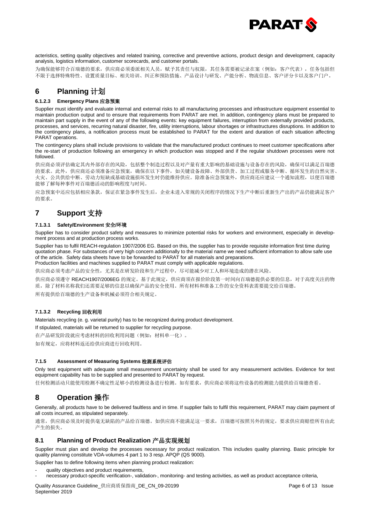

acteristics, setting quality objectives and related training, corrective and preventive actions, product design and development, capacity analysis, logistics information, customer scorecards, and customer portals.

为确保能够符合百瑞德的要求,供应商必须委派相关人员,赋予其责任与权限,其任务需要被记录在案(例如:客户代表),任务包括但 不限于选择特殊特性、设置质量目标、相关培训、纠正和预防措施、产品设计与研发、产能分析、物流信息、客户评分卡以及客户门户。

# **6 Planning** 计划

#### **6.1.2.3 Emergency Plans** 应急预案

Supplier must identify and evaluate internal and external risks to all manufacturing processes and infrastructure equipment essential to maintain production output and to ensure that requirements from PARAT are met. In addition, contingency plans must be prepared to maintain part supply in the event of any of the following events: key equipment failures, interruption from externally provided products, processes, and services, recurring natural disaster, fire, utility interruptions, labour shortages or infrastructures disruptions. In addition to the contingency plans, a notification process must be established to PARAT for the extent and duration of each situation affecting PARAT operations.

The contingency plans shall include provisions to validate that the manufactured product continues to meet customer specifications after the re-start of production following an emergency in which production was stopped and if the regular shutdown processes were not followed.

供应商必须评估确定其内外部存在的风险,包括整个制造过程以及对产量有重大影响的基础设施与设备存在的风险,确保可以满足百瑞德 的要求。此外,供应商还必须准备应急预案,确保在以下事件,如关键设备故障、外部供货、加工过程或服务中断、循环发生的自然灾害、 火灾、公共供给中断、劳动力短缺或基础设施损坏发生时仍能维持供应。除准备应急预案外,供应商还应建议一个通知流程,以便百瑞德 能够了解每种事件对百瑞德活动的影响程度与时间。

应急预案中还应包括相应条款,保证在紧急事件发生后,企业未进入常规的关闭程序的情况下生产中断后重新生产出的产品仍能满足客户 的要求。

# **7 Support** 支持

#### **7.1.3.1 Safety/Environment** 安全**/**环境

Supplier has to consider product safety and measures to minimize potential risks for workers and environment, especially in development process and at production process works.

Supplier has to fulfil REACH-regulation 1907/2006 EG. Based on this, the supplier has to provide requisite information first time during quotation phase. For substances of very high concern additionally to the material name we need sufficient information to allow safe use of the article. Safety data sheets have to be forwarded to PARAT for all materials and preparations. Production facilities and machines supplied to PARAT must comply with applicable regulations.

供应商必须考虑产品的安全性,尤其是在研发阶段和生产过程中,尽可能减少对工人和环境造成的潜在风险。

供应商必须遵守 REACH1907/2006EG 的规定。基于此规定,供应商须在报价阶段第一时间向百瑞德提供必要的信息,对于高度关注的物 质,除了材料名称我们还需要足够的信息以确保产品的安全使用。所有材料和准备工作的安全资料表需要提交给百瑞德。

所有提供给百瑞德的生产设备和机械必须符合相关规定。

#### **7.1.3.2 Recycling** 回收利用

Materials recycling (e. g. varietal purity) has to be recognized during product development.

If stipulated, materials will be returned to supplier for recycling purpose.

在产品研发阶段就应考虑材料的回收利用问题(例如:材料单一化)。

如有规定,应将材料返还给供应商进行回收利用。

#### **7.1.5 Assessment of Measuring Systems** 检测系统评估

Only test equipment with adequate small measurement uncertainty shall be used for any measurement activities. Evidence for test equipment capability has to be supplied and presented to PARAT by request.

任何检测活动只能使用检测不确定性足够小的检测设备进行检测。如有要求,供应商必须将这些设备的检测能力提供给百瑞德查看。

# **8 Operation** 操作

Generally, all products have to be delivered faultless and in time. If supplier fails to fulfil this requirement, PARAT may claim payment of all costs incurred, as stipulated separately.

通常,供应商必须及时提供喜无缺陷的产品给百瑞德。如供应商不能满足这一要求,百瑞德可按照另外的规定,要求供应商赔偿所有由此 产生的损失。

#### **8.1 Planning of Product Realization** 产品实现规划

Supplier must plan and develop the processes necessary for product realization. This includes quality planning. Basic principle for quality planning constitute VDA-volumes 4 part 1 to 3 resp. APQP (QS 9000).

Supplier has to define following items when planning product realization:

- quality objectives and product requirements,
- necessary product-specific verification-, validation-, monitoring- and testing activities, as well as product acceptance criteria,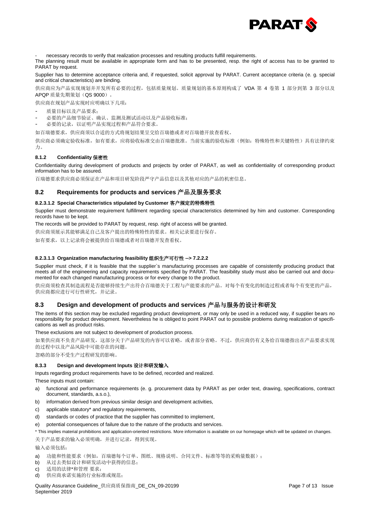

- necessary records to verify that realization processes and resulting products fulfill requirements.

The planning result must be available in appropriate form and has to be presented, resp. the right of access has to be granted to PARAT by request.

Supplier has to determine acceptance criteria and, if requested, solicit approval by PARAT. Current acceptance criteria (e. g. special and critical characteristics) are binding.

供应商应为产品实现规划并开发所有必要的过程,包括质量规划。质量规划的基本原则构成了 VDA 第 4 卷第 1 部分到第 3 部分以及 APQP 质量先期策划(QS 9000)。

供应商在规划产品实现时应明确以下几项:

- 质量目标以及产品要求;
- 必要的产品细节验证、确认、监测及测试活动以及产品验收标准;
- 必要的记录,以证明产品实现过程和产品符合要求。

如百瑞德要求,供应商须以合适的方式将规划结果呈交给百瑞德或者对百瑞德开放查看权。

供应商必须确定验收标准,如有要求,应将验收标准交由百瑞德批准。当前实施的验收标准(例如:特殊特性和关键特性)具有法律约束 力。

#### **8.1.2 Confidentiality** 保密性

Confidentiality during development of products and projects by order of PARAT, as well as confidentiality of corresponding product information has to be assured.

百瑞德要求供应商必须保证在产品和项目研发阶段严守产品信息以及其他对应的产品的机密信息。

#### **8.2 Requirements for products and services** 产品及服务要求

#### **8.2.3.1.2 Special Characteristics stipulated by Customer** 客户规定的特殊特性

Supplier must demonstrate requirement fulfillment regarding special characteristics determined by him and customer. Corresponding records have to be kept.

The records will be provided to PARAT by request, resp. right of access will be granted.

供应商须展示其能够满足自己及客户提出的特殊特性的要求。相关记录要进行保存。

如有要求,以上记录将会被提供给百瑞德或者对百瑞德开发查看权。

#### **8.2.3.1.3 Organization manufacturing feasibility** 组织生产可行性 **--> 7.2.2.2**

Supplier must check, if it is feasible that the supplier`s manufacturing processes are capable of consistently producing product that meets all of the engineering and capacity requirements specified by PARAT. The feasibility study must also be carried out and documented for each changed manufacturing process or for every change to the product.

供应商须检查其制造流程是否能够持续生产出符合百瑞德关于工程与产能要求的产品。对每个有变化的制造过程或者每个有变更的产品, 供应商都应进行可行性研究,并记录。

#### **8.3 Design and development of products and services** 产品与服务的设计和研发

The items of this section may be excluded regarding product development, or may only be used in a reduced way, if supplier bears no responsibility for product development. Nevertheless he is obliged to point PARAT out to possible problems during realization of specifications as well as product risks.

These exclusions are not subject to development of production process.

如果供应商不负责产品研发,这部分关于产品研发的内容可以省略,或者部分省略。不过,供应商仍有义务给百瑞德指出在产品要求实现 的过程中以及产品风险中可能存在的问题。

忽略的部分不受生产过程研发的影响。

#### **8.3.3 Design and development Inputs** 设计和研发输入

Inputs regarding product requirements have to be defined, recorded and realized.

These inputs must contain:

- a) functional and performance requirements (e. g. procurement data by PARAT as per order text, drawing, specifications, contract document, standards, a.s.o.),
- b) information derived from previous similar design and development activities,
- c) applicable statutory\* and regulatory requirements,
- d) standards or codes of practice that the supplier has committed to implement,
- e) potential consequences of failure due to the nature of the products and services.

\* This implies material prohibitions and application-oriented restrictions. More information is available on our homepage which will be updated on changes. 关于产品要求的输入必须明确,并进行记录,得到实现。

输入必须包括:

- a) 功能和性能要求(例如, 百瑞德每个订单、图纸、规格说明、合同文件、标准等等的采购量数据):
- b) 从过去类似设计和研发活动中获得的信息;
- c) 适用的法律\*和管理 要求;
- d) 供应商承诺实施的行业标准或规范;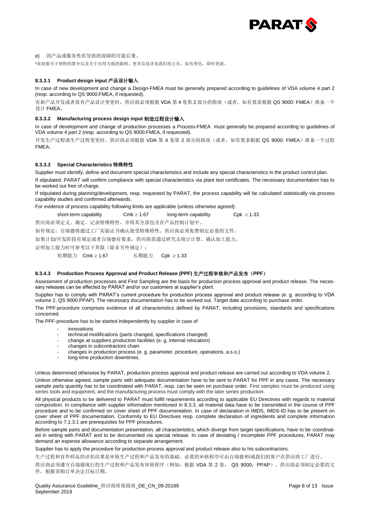

#### e) 因产品或服务性质导致的故障的可能后果。

\*此处指关于材料的禁令以及关于应用方面的限制。更多信息详见我们的主页,如有变化,即时更新。

#### **8.3.3.1 Product design input** 产品设计输入

In case of new development and change a Design-FMEA must be generally prepared according to guidelines of VDA volume 4 part 2 (resp. according to QS 9000:FMEA, if requested).

有新产品开发或者原有产品设计变更时,供应商必须根据 VDA 第 4 卷第 2 部分的指南(或者,如有要求根据 QS 9000: FMEA)准备一个 设计 FMEA。

#### **8.3.3.2 Manufacturing process design input** 制造过程设计输入

In case of development and change of production processes a Process-FMEA must generally be prepared according to guidelines of VDA volume 4 part 2 (resp. according to QS 9000:FMEA, if requested).

开发生产过程或生产过程变更时,供应商必须根据 VDA 第 4 卷第 2 部分的指南(或者, 如有要求根据 QS 9000: FMEA)准备一个过程 FMEA。

#### **8.3.3.3 Special Characteristics** 特殊特性

Supplier must identify, define and document special characteristics and include any special characteristics in the product control plan. If stipulated, PARAT will confirm compliance with special characteristics via plant test certificates. The necessary documentation has to be worked out free of charge.

If stipulated during planning/development, resp. requested by PARAT, the process capability will be calculated statistically via process capability studies and confirmed afterwards.

For evidence of process capability following limits are applicable (unless otherwise agreed):

short-term capability Cmk  $\geq 1.67$  long-term capability Cpk  $\geq 1.33$ 

供应商必须定义、确定、记录特殊特性,并将其全部包含在产品控制计划中。

如有规定,百瑞德将通过工厂实验证书确认接受特殊特性。供应商必须免费制定必要的文件。

如果计划/开发阶段有规定或者百瑞德有要求,供应商需通过研究去统计计算、确认加工能力。

证明加工能力时可参考以下界限(除非另外规定):

短期能力 Cmk 1.67 长期能力 Cpk 1.33

#### **8.3.4.3 Production Process Approval and Product Release (PPF)** 生产过程审核和产品发布(**PPF**)

Assessment of production processes and First Sampling are the basis for production process approval and product release. The necessary releases can be effected by PARAT and/or our customers at supplier's plant.

Supplier has to comply with PARAT's current procedure for production process approval and product release (e. g. according to VDA volume 2, QS 9000:PPAP). The necessary documentation has to be worked out. Target date according to purchase order.

The PPF-procedure comprises evidence of all characteristics defined by PARAT, including provisions, standards and specifications concerned.

The PPF-procedure has to be started independently by supplier in case of

- innovations
- technical modifications (parts changed, specifications changed)
- change at suppliers production facilities (e. g. internal relocation)
- changes in subcontractors chain
- changes in production process (e. g. parameter, procedure, operations, a.s.o.)
- long-time production downtimes.

Unless determined otherwise by PARAT, production process approval and product release are carried out according to VDA volume 2. Unless otherwise agreed, sample parts with adequate documentation have to be sent to PARAT for PPF in any cases. The necessary sample parts quantity has to be coordinated with PARAT, resp. can be seen on purchase order. First samples must be produced using series tools and equipment, and the manufacturing process must comply with the later series production.

All physical products to be delivered to PARAT must fulfill requirements according to applicable EU Directives with regards to material composition. In compliance with supplier information mentioned in 8.3.3, all material data have to be transmitted in the course of PPF procedure and to be confirmed on cover sheet of PPF documentation. In case of declaration in IMDS, IMDS-ID has to be present on cover sheet of PPF documentation. Conformity to EU Directives resp. complete declaration of ingredients and complete information according to 7.1.3.1 are prerequisites for PPF procedures.

Before sample parts and documentation presentation, all characteristics, which diverge from target specifications, have to be coordinated in writing with PARAT and to be documented via special release. In case of deviating / incomplete PPF procedures, PARAT may demand an expense allowance according to separate arrangement.

Supplier has to apply the procedure for production process approval and product release also to his subcontractors.

生产过程和首件样品的评估结果是审核生产过程和产品发布的基础。必要的审核程序可由百瑞德和/或我们的客户在供应商工厂进行。

供应商必须遵守百瑞德现行的生产过程和产品发布审核程序(例如:根据 VDA 第 2 卷, QS 9000: PPAP)。供应商必须制定必要的文 件,根据采购订单决定目标日期。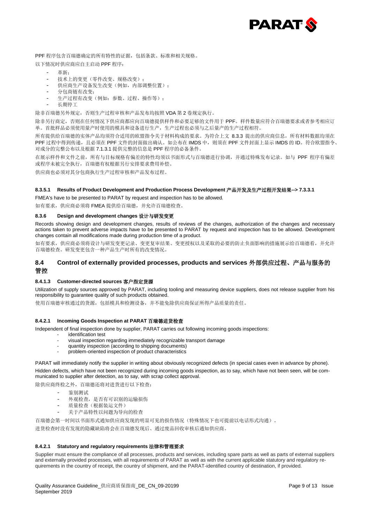

PPF 程序包含百瑞德确定的所有特性的证据,包括条款、标准和相关规格。

- 以下情况时供应商应自主启动 PPF 程序:
	- 革新:
	- 技术上的变更(零件改变、规格改变);
	- 供应商生产设备发生改变(例如,内部调整位置);
	- 分包商链有改变;
	- 生产过程有改变(例如: 参数、过程、操作等);
	- 长期停工

除非百瑞德另外规定,否则生产过程审核和产品发布均按照 VDA 第 2 卷规定执行。

除非另行商定,否则在任何情况下供应商都应向百瑞德提供样件和必要足够的文件用于 PPF。样件数量应符合百瑞德要求或者参考相应订 单。首批样品必须使用量产时使用的模具和设备进行生产,生产过程也必须与之后量产的生产过程相符。

所有提供给百瑞德的实体产品均须符合适用的欧盟指令关于材料构成的要求。为符合上文 8.3.3 提出的供应商信息,所有材料数据均须在 PPF 过程中得到传递,且必须在 PPF 文件的封面做出确认。如公布在 IMDS 中, 则须在 PPF 文件封面上显示 IMDS 的 ID。符合欧盟指令、 对成分的完整公布以及根据 7.1.3.1 提供完整的信息是 PPF 程序的必备条件。

在展示样件和文件之前,所有与目标规格有偏差的特性均须以书面形式与百瑞德进行协调,并通过特殊发布记录。如与 PPF 程序有偏差 或程序未被完全执行,百瑞德有权根据另行安排要求费用补偿。

供应商也必须对其分包商执行生产过程审核和产品发布过程。

#### **8.3.5.1 Results of Product Development and Production Process Development** 产品开发及生产过程开发结果**--> 7.3.3.1**

FMEA's have to be presented to PARAT by request and inspection has to be allowed.

如有要求,供应商必须将 FMEA 提供给百瑞德,并允许百瑞德检查。

#### **8.3.6 Design and development changes** 设计与研发变更

Records showing design and development changes, results of reviews of the changes, authorization of the changes and necessary actions taken to prevent adverse impacts have to be presented to PARAT by request and inspection has to be allowed. Development changes contain all modifications made during production time of a product.

如有要求,供应商必须将设计与研发变更记录、变更复审结果、变更授权以及采取的必要的防止负面影响的措施展示给百瑞德看,并允许 百瑞德检查。研发变更包含一种产品生产时所有的改变情况。

#### **8.4 Control of externally provided processes, products and services** 外部供应过程、产品与服务的 管控

#### **8.4.1.3 Customer-directed sources** 客户指定货源

Utilization of supply sources approved by PARAT, including tooling and measuring device suppliers, does not release supplier from his responsibility to guarantee quality of such products obtained.

使用百瑞德审核通过的货源,包括模具和检测设备,并不能免除供应商保证所得产品质量的责任。

#### **8.4.2.1 Incoming Goods Inspection at PARAT** 百瑞德进货检查

Independent of final inspection done by supplier, PARAT carries out following incoming goods inspections:

- identification test
	- visual inspection regarding immediately recognizable transport damage
	- quantity inspection (according to shipping documents)
	- problem-oriented inspection of product characteristics

PARAT will immediately notify the supplier in writing about obviously recognized defects (in special cases even in advance by phone). Hidden defects, which have not been recognized during incoming goods inspection, as to say, which have not been seen, will be communicated to supplier after detection, as to say, with scrap collect approval.

除供应商终检之外,百瑞德还将对进货进行以下检查:

- 鉴别测试
- 外观检查,是否有可识别的运输损伤
- 质量检查(根据装运文件)
- 关于产品特性以问题为导向的检查

百瑞德会第一时间以书面形式通知供应商发现的明显可见的损伤情况(特殊情况下也可提前以电话形式沟通)。

进货检查时没有发现的隐藏缺陷将会在百瑞德发现后、通过废品回收审核后通知供应商。

#### **8.4.2.1 Statutory and regulatory requirements** 法律和管理要求

Supplier must ensure the compliance of all processes, products and services, including spare parts as well as parts of external suppliers and externally provided processes, with all requirements of PARAT as well as with the current applicable statutory and regulatory requirements in the country of receipt, the country of shipment, and the PARAT-identified country of destination, if provided.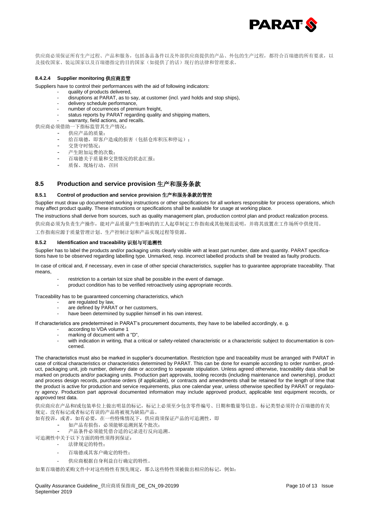

供应商必须保证所有生产过程、产品和服务,包括备品备件以及外部供应商提供的产品、外包的生产过程,都符合百瑞德的所有要求,以 及接收国家、装运国家以及百瑞德指定的目的国家(如提供了的话)现行的法律和管理要求。

#### **8.4.2.4 Supplier monitoring** 供应商监管

Suppliers have to control their performances with the aid of following indicators:

- quality of products delivered, disruptions at PARAT, as to say, at customer (incl. yard holds and stop ships),
	- delivery schedule performance,
	- number of occurrences of premium freight,
	- status reports by PARAT regarding quality and shipping matters,
- warranty, field actions, and recalls.
- 供应商必须借助一下指标监管其生产情况:
	- 供应产品的质量;
	- 给百瑞德,即客户造成的损害(包括仓库积压和停运);
	- 交货守时情况;
	- 产生附加运费的次数;
	- 百瑞德关于质量和交货情况的状态汇报;
	- 质保、现场行动、召回

#### **8.5 Production and service provision** 生产和服务条款

#### **8.5.1 Control of production and service provision** 生产和服务条款的管控

Supplier must draw up documented working instructions or other specifications for all workers responsible for process operations, which may affect product quality. These instructions or specifications shall be available for usage at working place.

The instructions shall derive from sources, such as quality management plan, production control plan and product realization process. 供应商必须为负责生产操作,能对产品质量产生影响的的工人起草制定工作指南或其他规范说明,并将其放置在工作场所中供使用。 工作指南应源于质量管理计划、生产控制计划和产品实现过程等资源。

#### **8.5.2 Identification and traceability** 识别与可追溯性

Supplier has to label the products and/or packaging units clearly visible with at least part number, date and quantity. PARAT specifications have to be observed regarding labelling type. Unmarked, resp. incorrect labelled products shall be treated as faulty products.

In case of critical and, if necessary, even in case of other special characteristics, supplier has to guarantee appropriate traceability. That means,

- restriction to a certain lot size shall be possible in the event of damage.
- product condition has to be verified retroactively using appropriate records.

Traceability has to be guaranteed concerning characteristics, which

- are regulated by law.
- are defined by PARAT or her customers,
- have been determined by supplier himself in his own interest.

If characteristics are predetermined in PARAT's procurement documents, they have to be labelled accordingly, e. g.

- according to VDA volume 1
- marking of document with a "D",
- with indication in writing, that a critical or safety-related characteristic or a characteristic subject to documentation is concerned.

The characteristics must also be marked in supplier's documentation. Restriction type and traceability must be arranged with PARAT in case of critical characteristics or characteristics determined by PARAT. This can be done for example according to order number, product, packaging unit, job number, delivery date or according to separate stipulation. Unless agreed otherwise, traceability data shall be marked on products and/or packaging units. Production part approvals, tooling records (including maintenance and ownership), product and process design records, purchase orders (if applicable), or contracts and amendments shall be retained for the length of time that the product is active for production and service requirements, plus one calendar year, unless otherwise specified by PARAT or regulatory agency. Production part approval documented information may include approved product, applicable test equipment records, or approved test data.

供应商应在产品和/或包装单位上做出明显的标记,标记上必须至少包含零件编号、日期和数量等信息。标记类型必须符合百瑞德的有关 规定。没有标记或者标记有误的产品将被视为缺陷产品。

如有投诉, 或者, 如有必要, 在一些特殊情况下, 供应商须保证产品的可追溯性, 即

- 如产品有损伤,必须能够追溯到某个批次;
- 产品条件必须能凭借合适的记录进行反向追溯。
- 可追溯性中关于以下方面的特性须得到保证:
	- 法律规定的特性;
		- 百瑞德或其客户确定的特性;
		- 供应商根据自身利益自行确定的特性。

如果百瑞德的采购文件中对这些特性有预先规定,那么这些特性须被做出相应的标记,例如: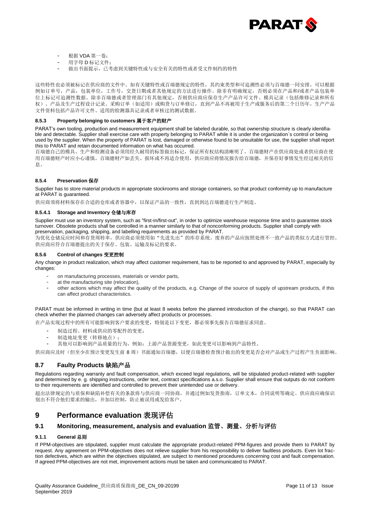

- 根据 VDA 第一卷;
- 用字母 D 标记文件;
- 做出书面提示,已考虑到关键特性或与安全有关的特性或者受文件制约的特性

这些特性也必须被标记在供应商的文件中。如有关键特性或百瑞德规定的特性,其约束类型和可追溯性必须与百瑞德一同安排。可以根据 例如订单号,产品,包装单位,工作号,交货日期或者其他规定的方法进行操作。除非有明确规定,否则必须在产品和/或者产品包装单 位上标记可追溯性数据。除非百瑞德或者管理部门有其他规定,否则供应商应保存生产产品许可文件、模具记录(包括维修记录和所有 权)、产品及生产过程设计记录、采购订单(如适用)或购货与订单修订,直到产品不再被用于生产或服务后的第二个日历年。生产产品 文件资料包括产品许可文件、适用的检测器具记录或者审核过的测试数据。

#### **8.5.3 Property belonging to customers** 属于客户的财产

PARAT's own tooling, production and measurement equipment shall be labeled durable, so that ownership structure is clearly identifiable and detectable. Supplier shall exercise care with property belonging to PARAT while it is under the organization`s control or being used by the supplier. When the property of PARAT is lost, damaged or otherwise found to be unsuitable for use, the supplier shall report this to PARAT and retain documented information on what has occurred.

百瑞德自己的模具、生产和检测设备必须用经久耐用的标签做出标记,保证所有权结构清晰明了。百瑞德财产在供应商处或者供应商在使 用百瑞德财产时应小心谨慎。百瑞德财产如丢失、损坏或不再适合使用,供应商应将情况报告给百瑞德,并保存好事情发生经过相关的信 息。

#### **8.5.4 Preservation** 保存

Supplier has to store material products in appropriate stockrooms and storage containers, so that product conformity up to manufacture at PARAT is guaranteed.

供应商须将材料保存在合适的仓库或者容器中,以保证产品的一致性,直到到达百瑞德进行生产制造。

#### **8.5.4.1 Storage and Inventory** 仓储与库存

Supplier must use an inventory system, such as "first-in/first-out", in order to optimize warehouse response time and to guarantee stock turnover. Obsolete products shall be controlled in a manner similarly to that of nonconforming products. Supplier shall comply with preservation, packaging, shipping, and labelling requirements as provided by PARAT.

为优化仓储反应时间和存货周转率,供应商必须使用如"先进先出"的库存系统。废弃的产品应按照处理不一致产品的类似方式进行管控。 供应商应符合百瑞德提出的关于保存、包装、运输及标记的要求。

#### **8.5.6 Control of changes** 变更控制

Any change in product realization, which may affect customer requirement, has to be reported to and approved by PARAT, especially by changes:

- on manufacturing processes, materials or vendor parts,
- at the manufacturing site (relocation),
- other actions which may affect the quality of the products, e.g. Change of the source of supply of upstream products, if this can affect product characteristics.

PARAT must be informed in writing in time (but at least 8 weeks before the planned introduction of the change), so that PARAT can check whether the planned changes can adversely affect products or processes.

在产品实现过程中的所有可能影响到客户要求的变更,特别是以下变更,都必须事先报告百瑞德征求同意。

- 制造过程、材料或供应的零配件的变更;
- 制造地址变更(转移地点);
- 其他可以影响到产品质量的行为,例如:上游产品货源变更,如此变更可以影响到产品特性。

供应商应及时(但至少在预计变更发生前 8 周)书面通知百瑞德,以便百瑞德检查预计做出的变更是否会对产品或生产过程产生负面影响。

#### **8.7 Faulty Products** 缺陷产品

Regulations regarding warranty and fault compensation, which exceed legal regulations, will be stipulated product-related with supplier and determined by e. g. shipping instructions, order text, contract specifications a.s.o. Supplier shall ensure that outputs do not conform to their requirements are identified and controlled to prevent their unintended use or delivery.

超出法律规定的与质保和缺陷补偿有关的条款将与供应商一同协商,并通过例如发货指南,订单文本,合同说明等确定。供应商应确保识 别出不符合他们要求的输出,并加以控制,防止被误用或发给客户。

# **9 Performance evaluation** 表现评估

#### **9.1 Monitoring, measurement, analysis and evaluation** 监管、测量、分析与评估

#### **9.1.1 General** 总则

If PPM-objectives are stipulated, supplier must calculate the appropriate product-related PPM-figures and provide them to PARAT by request. Any agreement on PPM-objectives does not relieve supplier from his responsibility to deliver faultless products. Even lot fraction defectives, which are within the objectives stipulated, are subject to mentioned procedures concerning cost and fault compensation. If agreed PPM-objectives are not met, improvement actions must be taken and communicated to PARAT.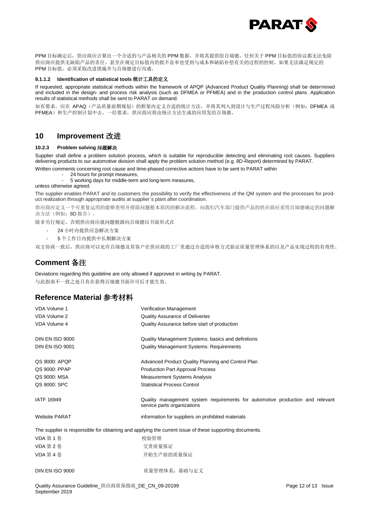

PPM 目标确定后,供应商应计算出一个合适的与产品相关的 PPM 数据,并将其提供给百瑞德。任何关于 PPM 目标值的协议都无法免除 供应商应提供无缺陷产品的责任。甚至在规定目标值内的批不良率也受到与成本和缺陷补偿有关的过程的控制。如果无法满足规定的 PPM 目标值,必须采取改进措施并与百瑞德进行沟通。

#### **9.1.1.2 Identification of statistical tools** 统计工具的定义

If requested, appropriate statistical methods within the framework of APQP (Advanced Product Quality Planning) shall be determined and included in the design- and process risk analysis (such as DFMEA or PFMEA) and in the production control plans. Application results of statistical methods shall be sent to PARAT on demand.

如有要求,应在 APAQ(产品质量前期规划)的框架内定义合适的统计方法,并将其列入到设计与生产过程风险分析(例如: DFMEA 或 PFMEA)和生产控制计划中去。一经要求,供应商应将由统计方法生成的应用发给百瑞德。

# **10 Improvement** 改进

#### **10.2.3 Problem solving** 问题解决

Supplier shall define a problem solution process, which is suitable for reproducible detecting and eliminating root causes. Suppliers delivering products to our automotive division shall apply the problem solution method (e.g. 8D-Report) determined by PARAT.

Written comments concerning root cause and time-phased corrective actions have to be sent to PARAT within

24 hours for prompt measures. - 5 working days for middle-term and long-term measures,

unless otherwise agreed.

The supplier enables PARAT and its customers the possibility to verify the effectiveness of the QM system and the processes for product realization through appropriate audits at supplier`s plant after coordination.

供应商应定义一个可重复运用的能够查明并排除问题根本原因的解决流程。向我们汽车部门提供产品的供应商应采用百瑞德确定的问题解 决方法(例如:8D 报告)。

除非另行规定,否则供应商应就问题根源向百瑞德以书面形式在

- 24 小时内提供应急解决方案
- 5 个工作日内提供中长期解决方案

双方协商一致后,供应商可以允许百瑞德及其客户在供应商的工厂里通过合适的审核方式验证质量管理体系的以及产品实现过程的有效性。

# **Comment** 备注

Deviations regarding this guideline are only allowed if approved in writing by PARAT. 与此指南不一致之处只有在获得百瑞德书面许可后才能生效。

# **Reference Material** 参考材料

| VDA Volume 1           | <b>Verification Management</b>                                                                               |
|------------------------|--------------------------------------------------------------------------------------------------------------|
| <b>VDA Volume 2</b>    | <b>Quality Assurance of Deliveries</b>                                                                       |
| VDA Volume 4           | Quality Assurance before start of production                                                                 |
| <b>DIN EN ISO 9000</b> | Quality Management Systems: basics and definitions                                                           |
| <b>DIN EN ISO 9001</b> | <b>Quality Management Systems: Requirements</b>                                                              |
| QS 9000: APQP          | Advanced Product Quality Planning and Control Plan                                                           |
| QS 9000: PPAP          | <b>Production Part Approval Process</b>                                                                      |
| QS 9000: MSA           | <b>Measurement Systems Analysis</b>                                                                          |
| QS 9000: SPC           | <b>Statistical Process Control</b>                                                                           |
|                        |                                                                                                              |
| <b>IATF 16949</b>      | Quality management system requirements for automotive production and relevant<br>service parts organizations |
| <b>Website PARAT</b>   | information for suppliers on prohibited materials                                                            |
|                        | The supplier is responsible for obtaining and applying the current issue of these supporting documents.      |
| VDA 第1卷                | 校验管理                                                                                                         |
| VDA 第 2 卷              | 交货质量保证                                                                                                       |
| <b>VDA 第4卷</b>         | 开始生产前的质量保证                                                                                                   |